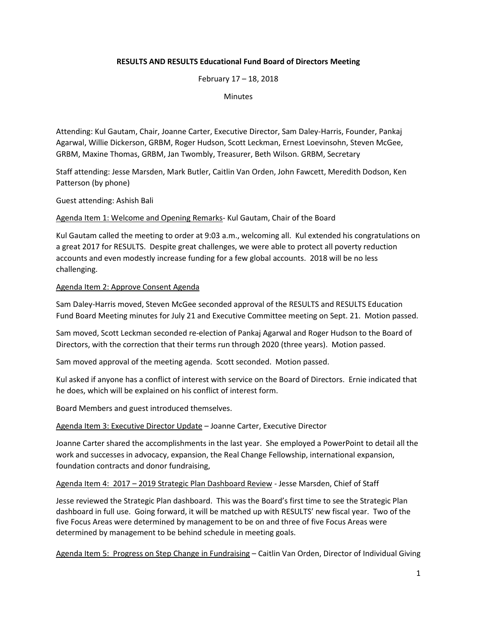# **RESULTS AND RESULTS Educational Fund Board of Directors Meeting**

February 17 – 18, 2018

**Minutes** 

Attending: Kul Gautam, Chair, Joanne Carter, Executive Director, Sam Daley-Harris, Founder, Pankaj Agarwal, Willie Dickerson, GRBM, Roger Hudson, Scott Leckman, Ernest Loevinsohn, Steven McGee, GRBM, Maxine Thomas, GRBM, Jan Twombly, Treasurer, Beth Wilson. GRBM, Secretary

Staff attending: Jesse Marsden, Mark Butler, Caitlin Van Orden, John Fawcett, Meredith Dodson, Ken Patterson (by phone)

Guest attending: Ashish Bali

Agenda Item 1: Welcome and Opening Remarks- Kul Gautam, Chair of the Board

Kul Gautam called the meeting to order at 9:03 a.m., welcoming all. Kul extended his congratulations on a great 2017 for RESULTS. Despite great challenges, we were able to protect all poverty reduction accounts and even modestly increase funding for a few global accounts. 2018 will be no less challenging.

### Agenda Item 2: Approve Consent Agenda

Sam Daley-Harris moved, Steven McGee seconded approval of the RESULTS and RESULTS Education Fund Board Meeting minutes for July 21 and Executive Committee meeting on Sept. 21. Motion passed.

Sam moved, Scott Leckman seconded re-election of Pankaj Agarwal and Roger Hudson to the Board of Directors, with the correction that their terms run through 2020 (three years). Motion passed.

Sam moved approval of the meeting agenda. Scott seconded. Motion passed.

Kul asked if anyone has a conflict of interest with service on the Board of Directors. Ernie indicated that he does, which will be explained on his conflict of interest form.

Board Members and guest introduced themselves.

Agenda Item 3: Executive Director Update – Joanne Carter, Executive Director

Joanne Carter shared the accomplishments in the last year. She employed a PowerPoint to detail all the work and successes in advocacy, expansion, the Real Change Fellowship, international expansion, foundation contracts and donor fundraising,

## Agenda Item 4: 2017 – 2019 Strategic Plan Dashboard Review - Jesse Marsden, Chief of Staff

Jesse reviewed the Strategic Plan dashboard. This was the Board's first time to see the Strategic Plan dashboard in full use. Going forward, it will be matched up with RESULTS' new fiscal year. Two of the five Focus Areas were determined by management to be on and three of five Focus Areas were determined by management to be behind schedule in meeting goals.

Agenda Item 5: Progress on Step Change in Fundraising – Caitlin Van Orden, Director of Individual Giving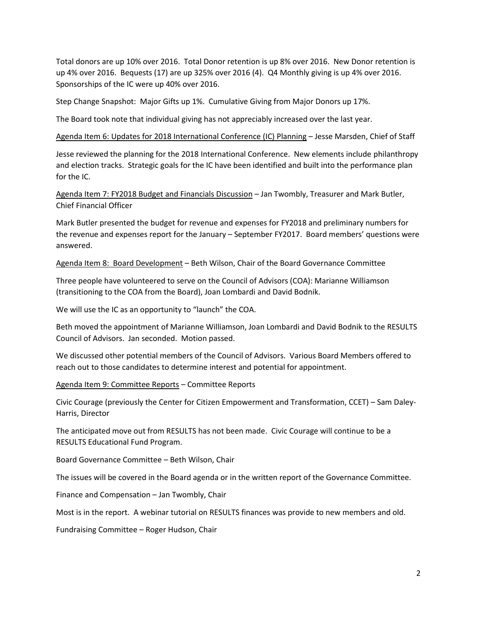Total donors are up 10% over 2016. Total Donor retention is up 8% over 2016. New Donor retention is up 4% over 2016. Bequests (17) are up 325% over 2016 (4). Q4 Monthly giving is up 4% over 2016. Sponsorships of the IC were up 40% over 2016.

Step Change Snapshot: Major Gifts up 1%. Cumulative Giving from Major Donors up 17%.

The Board took note that individual giving has not appreciably increased over the last year.

Agenda Item 6: Updates for 2018 International Conference (IC) Planning – Jesse Marsden, Chief of Staff

Jesse reviewed the planning for the 2018 International Conference. New elements include philanthropy and election tracks. Strategic goals for the IC have been identified and built into the performance plan for the IC.

Agenda Item 7: FY2018 Budget and Financials Discussion – Jan Twombly, Treasurer and Mark Butler, Chief Financial Officer

Mark Butler presented the budget for revenue and expenses for FY2018 and preliminary numbers for the revenue and expenses report for the January – September FY2017. Board members' questions were answered.

Agenda Item 8: Board Development – Beth Wilson, Chair of the Board Governance Committee

Three people have volunteered to serve on the Council of Advisors (COA): Marianne Williamson (transitioning to the COA from the Board), Joan Lombardi and David Bodnik.

We will use the IC as an opportunity to "launch" the COA.

Beth moved the appointment of Marianne Williamson, Joan Lombardi and David Bodnik to the RESULTS Council of Advisors. Jan seconded. Motion passed.

We discussed other potential members of the Council of Advisors. Various Board Members offered to reach out to those candidates to determine interest and potential for appointment.

Agenda Item 9: Committee Reports – Committee Reports

Civic Courage (previously the Center for Citizen Empowerment and Transformation, CCET) – Sam Daley-Harris, Director

The anticipated move out from RESULTS has not been made. Civic Courage will continue to be a RESULTS Educational Fund Program.

Board Governance Committee – Beth Wilson, Chair

The issues will be covered in the Board agenda or in the written report of the Governance Committee.

Finance and Compensation – Jan Twombly, Chair

Most is in the report. A webinar tutorial on RESULTS finances was provide to new members and old.

Fundraising Committee – Roger Hudson, Chair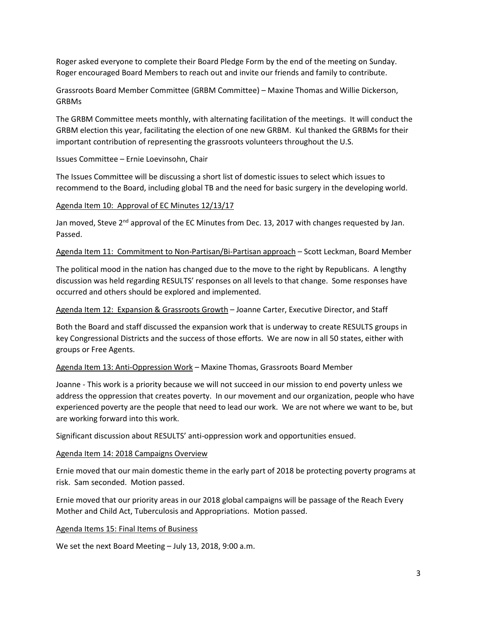Roger asked everyone to complete their Board Pledge Form by the end of the meeting on Sunday. Roger encouraged Board Members to reach out and invite our friends and family to contribute.

Grassroots Board Member Committee (GRBM Committee) – Maxine Thomas and Willie Dickerson, GRBMs

The GRBM Committee meets monthly, with alternating facilitation of the meetings. It will conduct the GRBM election this year, facilitating the election of one new GRBM. Kul thanked the GRBMs for their important contribution of representing the grassroots volunteers throughout the U.S.

Issues Committee – Ernie Loevinsohn, Chair

The Issues Committee will be discussing a short list of domestic issues to select which issues to recommend to the Board, including global TB and the need for basic surgery in the developing world.

### Agenda Item 10: Approval of EC Minutes 12/13/17

Jan moved, Steve 2<sup>nd</sup> approval of the EC Minutes from Dec. 13, 2017 with changes requested by Jan. Passed.

Agenda Item 11: Commitment to Non-Partisan/Bi-Partisan approach – Scott Leckman, Board Member

The political mood in the nation has changed due to the move to the right by Republicans. A lengthy discussion was held regarding RESULTS' responses on all levels to that change. Some responses have occurred and others should be explored and implemented.

Agenda Item 12: Expansion & Grassroots Growth – Joanne Carter, Executive Director, and Staff

Both the Board and staff discussed the expansion work that is underway to create RESULTS groups in key Congressional Districts and the success of those efforts. We are now in all 50 states, either with groups or Free Agents.

Agenda Item 13: Anti-Oppression Work – Maxine Thomas, Grassroots Board Member

Joanne - This work is a priority because we will not succeed in our mission to end poverty unless we address the oppression that creates poverty. In our movement and our organization, people who have experienced poverty are the people that need to lead our work. We are not where we want to be, but are working forward into this work.

Significant discussion about RESULTS' anti-oppression work and opportunities ensued.

#### Agenda Item 14: 2018 Campaigns Overview

Ernie moved that our main domestic theme in the early part of 2018 be protecting poverty programs at risk. Sam seconded. Motion passed.

Ernie moved that our priority areas in our 2018 global campaigns will be passage of the Reach Every Mother and Child Act, Tuberculosis and Appropriations. Motion passed.

## Agenda Items 15: Final Items of Business

We set the next Board Meeting – July 13, 2018, 9:00 a.m.